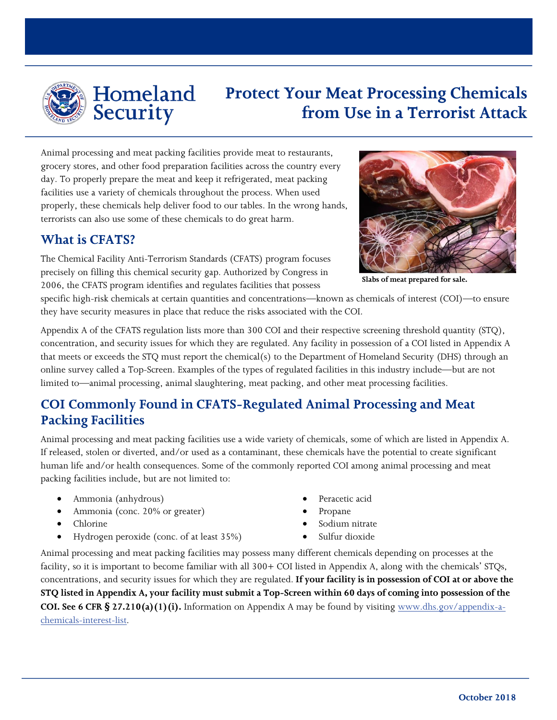

## Homeland **Security**

# **Protect Your Meat Processing Chemicals from Use in a Terrorist Attack**

Animal processing and meat packing facilities provide meat to restaurants, grocery stores, and other food preparation facilities across the country every day. To properly prepare the meat and keep it refrigerated, meat packing facilities use a variety of chemicals throughout the process. When used properly, these chemicals help deliver food to our tables. In the wrong hands, terrorists can also use some of these chemicals to do great harm.

#### **What is CFATS?**

The Chemical Facility Anti-Terrorism Standards (CFATS) program focuses precisely on filling this chemical security gap. Authorized by Congress in 2006, the CFATS program identifies and regulates facilities that possess



**Slabs of meat prepared for sale.**

specific high-risk chemicals at certain quantities and concentrations—known as chemicals of interest (COI)—to ensure they have security measures in place that reduce the risks associated with the COI.

Appendix A of the CFATS regulation lists more than 300 COI and their respective screening threshold quantity (STQ), concentration, and security issues for which they are regulated. Any facility in possession of a COI listed in Appendix A that meets or exceeds the STQ must report the chemical(s) to the Department of Homeland Security (DHS) through an online survey called a Top-Screen. Examples of the types of regulated facilities in this industry include—but are not limited to—animal processing, animal slaughtering, meat packing, and other meat processing facilities.

## **COI Commonly Found in CFATS-Regulated Animal Processing and Meat Packing Facilities**

Animal processing and meat packing facilities use a wide variety of chemicals, some of which are listed in Appendix A. If released, stolen or diverted, and/or used as a contaminant, these chemicals have the potential to create significant human life and/or health consequences. Some of the commonly reported COI among animal processing and meat packing facilities include, but are not limited to:

- Ammonia (anhydrous)
- Ammonia (conc. 20% or greater)
- Chlorine
- Hydrogen peroxide (conc. of at least 35%)
- Peracetic acid
- Propane
- Sodium nitrate
- Sulfur dioxide

Animal processing and meat packing facilities may possess many different chemicals depending on processes at the facility, so it is important to become familiar with all 300+ COI listed in Appendix A, along with the chemicals' STQs, concentrations, and security issues for which they are regulated. **If your facility is in possession of COI at or above the STQ listed in Appendix A, your facility must submit a Top-Screen within 60 days of coming into possession of the COI. See 6 CFR § 27.210(a)(1)(i).** Information on Appendix A may be found by visiting [www.dhs.gov/appendix-a](http://www.dhs.gov/appendix-a-chemicals-interest-list)[chemicals-interest-list.](http://www.dhs.gov/appendix-a-chemicals-interest-list)